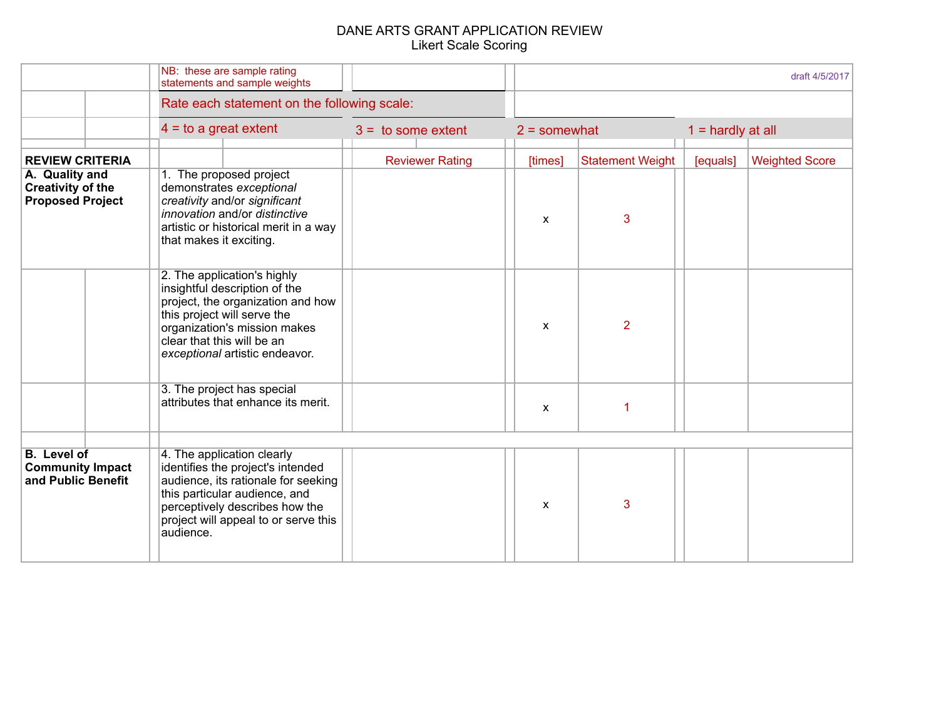|                                                                       | NB: these are sample rating<br>statements and sample weights                                                                                                                                                                     |                        | draft 4/5/2017            |                         |                     |                       |  |
|-----------------------------------------------------------------------|----------------------------------------------------------------------------------------------------------------------------------------------------------------------------------------------------------------------------------|------------------------|---------------------------|-------------------------|---------------------|-----------------------|--|
|                                                                       | Rate each statement on the following scale:                                                                                                                                                                                      |                        |                           |                         |                     |                       |  |
|                                                                       | $4 =$ to a great extent                                                                                                                                                                                                          | $3 =$ to some extent   | $2 =$ somewhat            |                         | $1 =$ hardly at all |                       |  |
| <b>REVIEW CRITERIA</b>                                                |                                                                                                                                                                                                                                  | <b>Reviewer Rating</b> | [times]                   | <b>Statement Weight</b> | [equals]            | <b>Weighted Score</b> |  |
| A. Quality and<br><b>Creativity of the</b><br><b>Proposed Project</b> | 1. The proposed project<br>demonstrates exceptional<br>creativity and/or significant<br>innovation and/or distinctive<br>artistic or historical merit in a way<br>that makes it exciting.                                        |                        | $\mathsf{x}$              | 3                       |                     |                       |  |
|                                                                       | 2. The application's highly<br>insightful description of the<br>project, the organization and how<br>this project will serve the<br>organization's mission makes<br>clear that this will be an<br>exceptional artistic endeavor. |                        | $\mathsf{x}$              | $\overline{2}$          |                     |                       |  |
|                                                                       | 3. The project has special<br>attributes that enhance its merit.                                                                                                                                                                 |                        | $\boldsymbol{\mathsf{x}}$ |                         |                     |                       |  |
| <b>B.</b> Level of<br><b>Community Impact</b><br>and Public Benefit   | 4. The application clearly<br>identifies the project's intended<br>audience, its rationale for seeking<br>this particular audience, and<br>perceptively describes how the<br>project will appeal to or serve this<br>audience.   |                        | X                         | 3                       |                     |                       |  |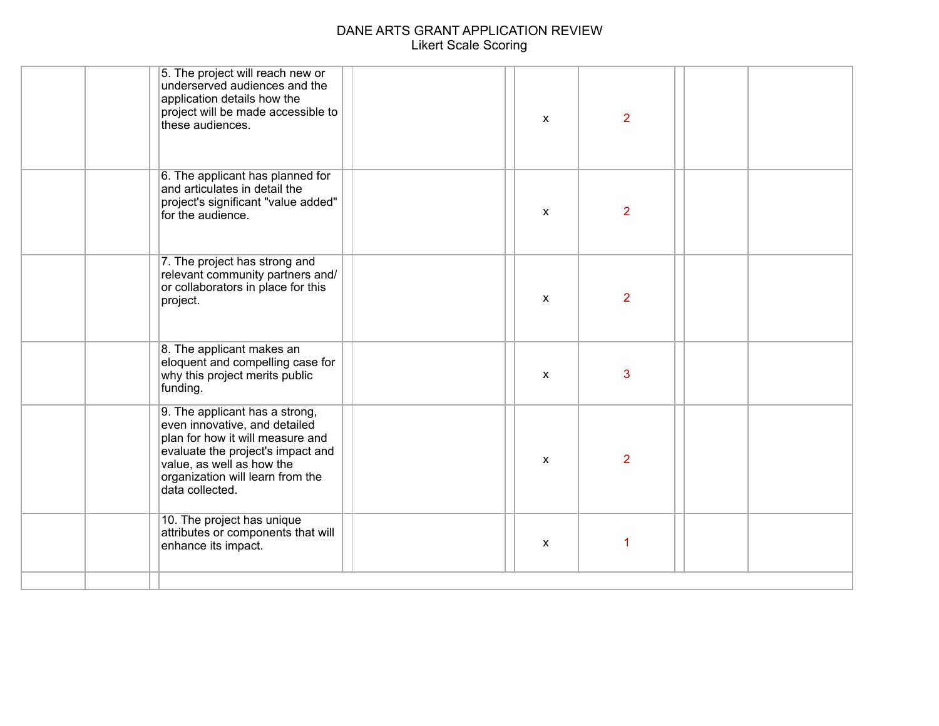| 5. The project will reach new or<br>underserved audiences and the<br>application details how the<br>project will be made accessible to<br>these audiences.                                                                   |                               | $\mathsf{x}$              | $\overline{2}$ |  |
|------------------------------------------------------------------------------------------------------------------------------------------------------------------------------------------------------------------------------|-------------------------------|---------------------------|----------------|--|
| 6. The applicant has planned for<br>and articulates in detail the<br>project's significant "value added"<br>for the audience.                                                                                                |                               | $\mathsf{x}$              | $\overline{2}$ |  |
| relevant community partners and/<br>or collaborators in place for this<br>project.                                                                                                                                           |                               | $\mathsf{x}$              | $\overline{2}$ |  |
| 8. The applicant makes an<br>eloquent and compelling case for<br>why this project merits public<br>funding.                                                                                                                  |                               | X                         | 3              |  |
| 9. The applicant has a strong,<br>even innovative, and detailed<br>plan for how it will measure and<br>evaluate the project's impact and<br>value, as well as how the<br>organization will learn from the<br>data collected. |                               | $\boldsymbol{\mathsf{x}}$ | $\overline{2}$ |  |
| 10. The project has unique<br>attributes or components that will<br>enhance its impact.                                                                                                                                      |                               | $\mathsf{x}$              | 1              |  |
|                                                                                                                                                                                                                              | 7. The project has strong and |                           |                |  |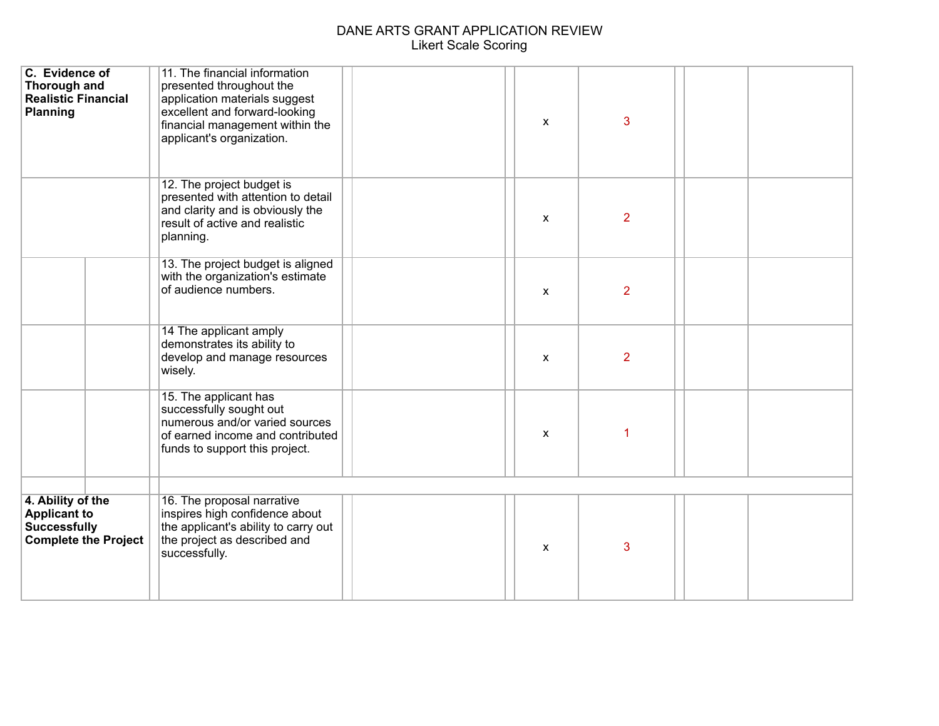| C. Evidence of<br>Thorough and<br><b>Realistic Financial</b><br><b>Planning</b>                | 11. The financial information<br>presented throughout the<br>application materials suggest<br>excellent and forward-looking<br>financial management within the<br>applicant's organization. | X            | 3              |  |
|------------------------------------------------------------------------------------------------|---------------------------------------------------------------------------------------------------------------------------------------------------------------------------------------------|--------------|----------------|--|
|                                                                                                | 12. The project budget is<br>presented with attention to detail<br>and clarity and is obviously the<br>result of active and realistic<br>planning.                                          | X            | $\overline{2}$ |  |
|                                                                                                | 13. The project budget is aligned<br>with the organization's estimate<br>of audience numbers.                                                                                               | $\mathsf{x}$ | $\overline{2}$ |  |
|                                                                                                | 14 The applicant amply<br>demonstrates its ability to<br>develop and manage resources<br>wisely.                                                                                            | $\mathsf{x}$ | $\overline{2}$ |  |
|                                                                                                | 15. The applicant has<br>successfully sought out<br>numerous and/or varied sources<br>of earned income and contributed<br>funds to support this project.                                    | $\mathsf{x}$ |                |  |
|                                                                                                |                                                                                                                                                                                             |              |                |  |
| 4. Ability of the<br><b>Applicant to</b><br><b>Successfully</b><br><b>Complete the Project</b> | 16. The proposal narrative<br>inspires high confidence about<br>the applicant's ability to carry out<br>the project as described and<br>successfully.                                       | $\mathsf{x}$ | 3              |  |